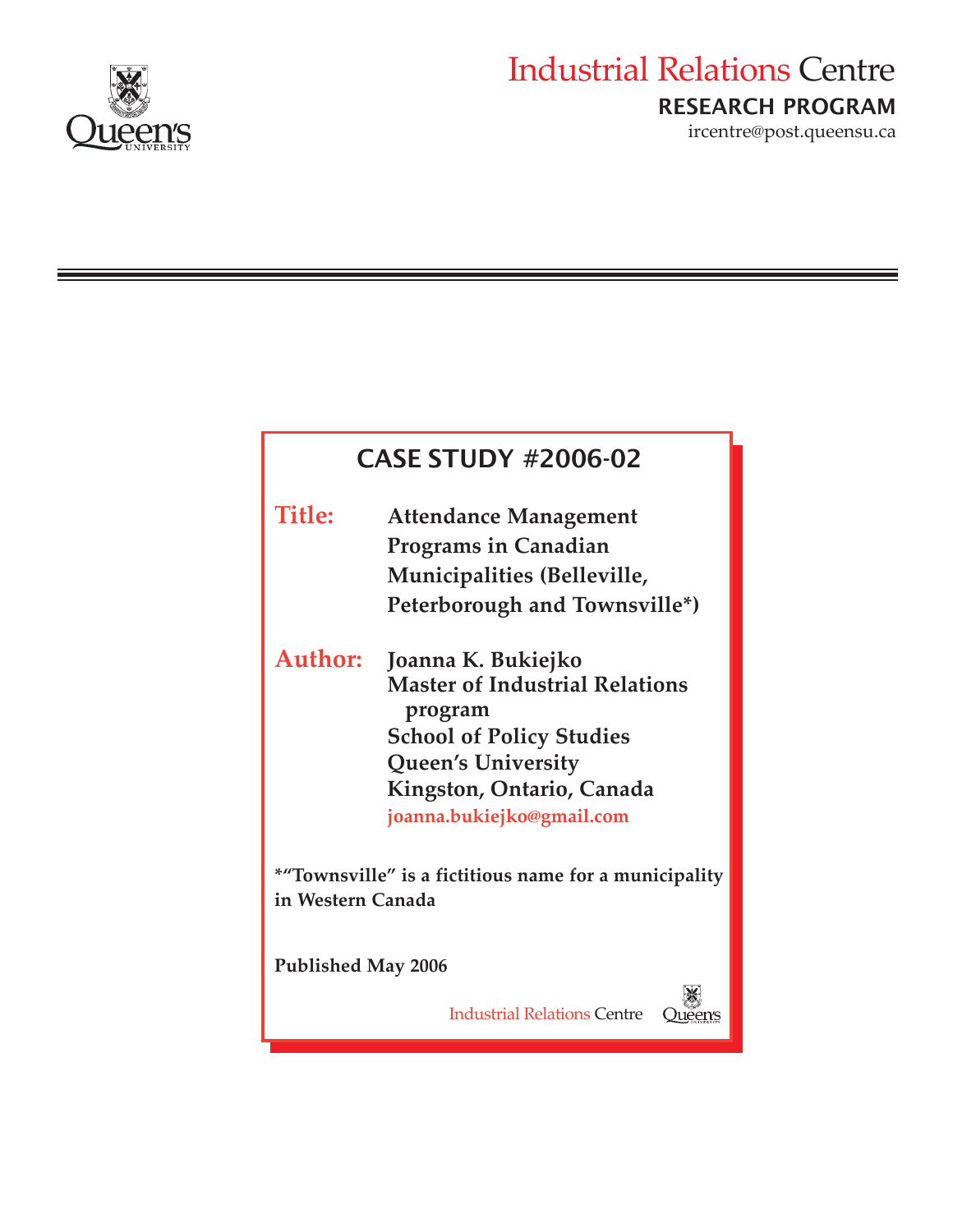

# Industrial Relations Centre RESEARCH PROGRAM

ircentre@post.queensu.ca

| <b>CASE STUDY #2006-02</b>                                                 |                                                  |
|----------------------------------------------------------------------------|--------------------------------------------------|
| <b>Title:</b>                                                              | <b>Attendance Management</b>                     |
|                                                                            | <b>Programs in Canadian</b>                      |
|                                                                            | Municipalities (Belleville,                      |
|                                                                            | Peterborough and Townsville*)                    |
| <b>Author:</b>                                                             | Joanna K. Bukiejko                               |
|                                                                            | <b>Master of Industrial Relations</b><br>program |
|                                                                            | <b>School of Policy Studies</b>                  |
|                                                                            | <b>Queen's University</b>                        |
|                                                                            | Kingston, Ontario, Canada                        |
|                                                                            | joanna.bukiejko@gmail.com                        |
| *"Townsville" is a fictitious name for a municipality<br>in Western Canada |                                                  |
| <b>Published May 2006</b>                                                  |                                                  |
|                                                                            | <b>Industrial Relations Centre</b>               |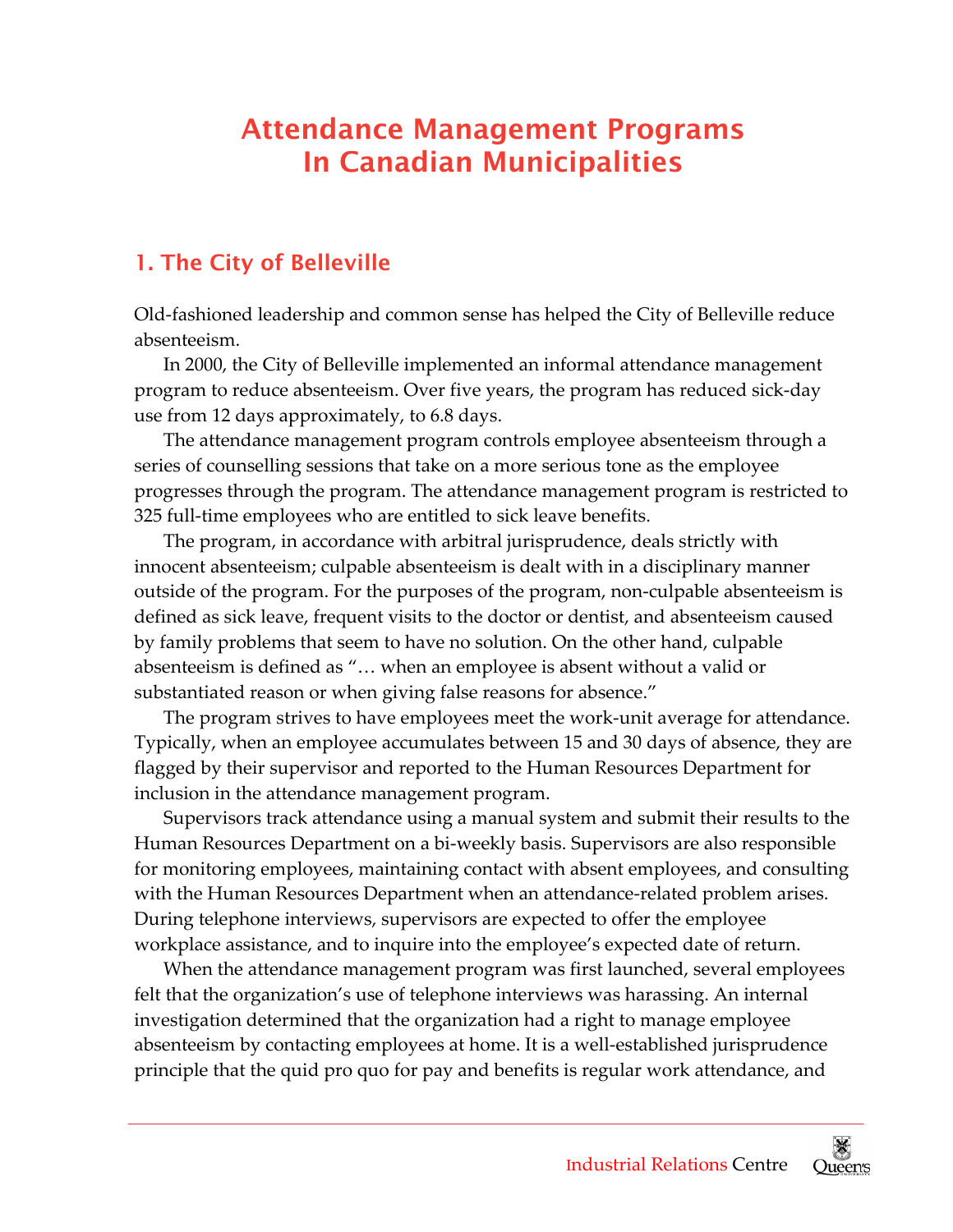## Attendance Management Programs In Canadian Municipalities

## 1. The City of Belleville

 Old‐fashioned leadership and common sense has helped the City of Belleville reduce absenteeism.

 In 2000, the City of Belleville implemented an informal attendance management program to reduce absenteeism. Over five years, the program has reduced sick‐day use from 12 days approximately, to 6.8 days.

 The attendance management program controls employee absenteeism through a series of counselling sessions that take on a more serious tone as the employee progresses through the program. The attendance management program is restricted to 325 full‐time employees who are entitled to sick leave benefits.

 The program, in accordance with arbitral jurisprudence, deals strictly with innocent absenteeism; culpable absenteeism is dealt with in a disciplinary manner outside of the program. For the purposes of the program, non‐culpable absenteeism is defined as sick leave, frequent visits to the doctor or dentist, and absenteeism caused by family problems that seem to have no solution. On the other hand, culpable absenteeism is defined as "… when an employee is absent without a valid or substantiated reason or when giving false reasons for absence."

 The program strives to have employees meet the work‐unit average for attendance. Typically, when an employee accumulates between 15 and 30 days of absence, they are flagged by their supervisor and reported to the Human Resources Department for inclusion in the attendance management program.

 Supervisors track attendance using a manual system and submit their results to the Human Resources Department on a bi‐weekly basis. Supervisors are also responsible for monitoring employees, maintaining contact with absent employees, and consulting with the Human Resources Department when an attendance‐related problem arises. During telephone interviews, supervisors are expected to offer the employee workplace assistance, and to inquire into the employee's expected date of return.

 When the attendance management program was first launched, several employees felt that the organization's use of telephone interviews was harassing. An internal investigation determined that the organization had a right to manage employee absenteeism by contacting employees at home. It is a well‐established jurisprudence principle that the quid pro quo for pay and benefits is regular work attendance, and

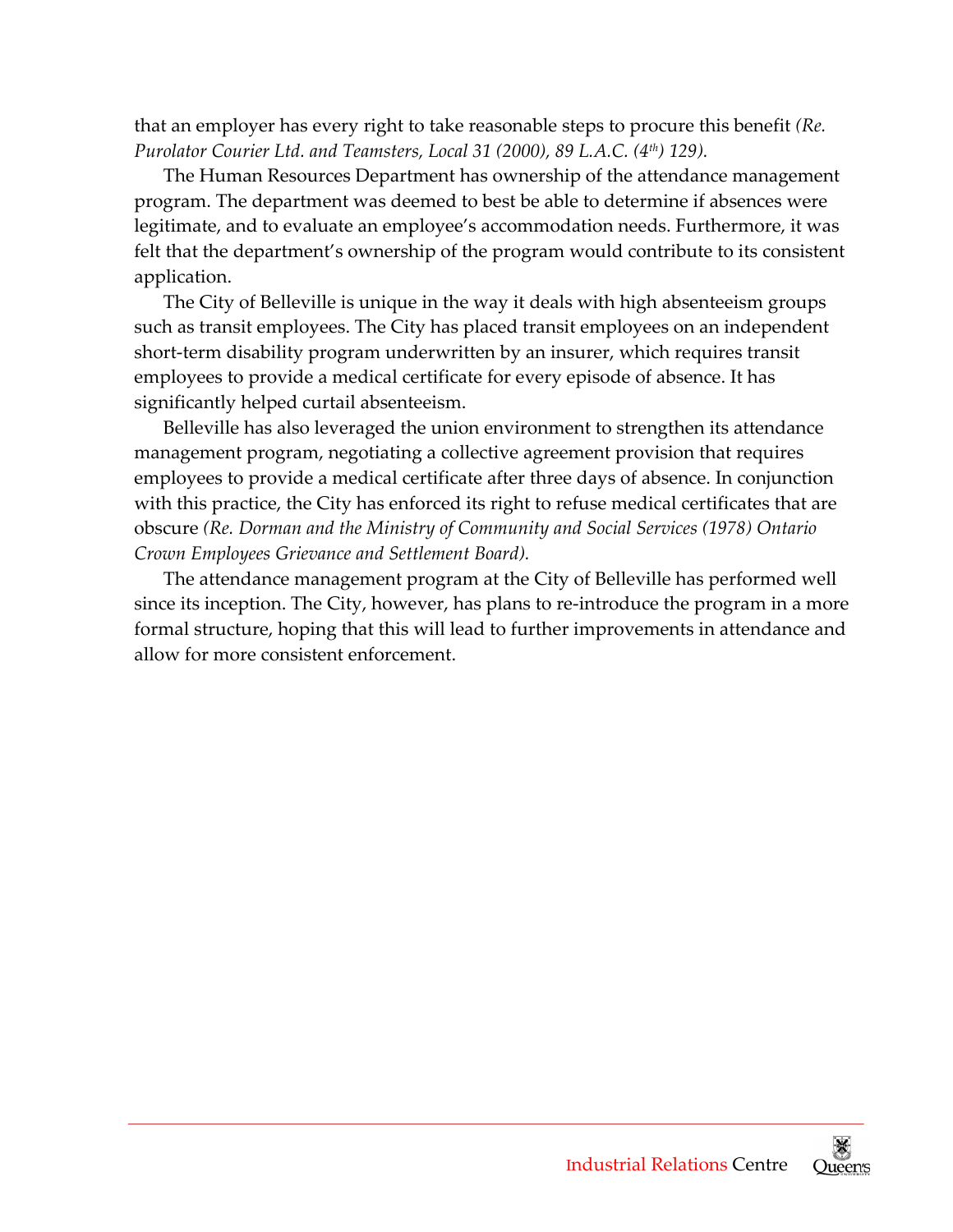that an employer has every right to take reasonable steps to procure this benefit *(Re.  Purolator Courier th Ltd. and Teamsters, Local 31 (2000), 89 L.A.C. (4 ) 129).*

 The Human Resources Department has ownership of the attendance management program. The department was deemed to best be able to determine if absences were legitimate, and to evaluate an employee's accommodation needs. Furthermore, it was felt that the department's ownership of the program would contribute to its consistent application.

 The City of Belleville is unique in the way it deals with high absenteeism groups such as transit employees. The City has placed transit employees on an independent short‐term disability program underwritten by an insurer, which requires transit employees to provide a medical certificate for every episode of absence. It has significantly helped curtail absenteeism.

 Belleville has also leveraged the union environment to strengthen its attendance management program, negotiating a collective agreement provision that requires employees to provide a medical certificate after three days of absence. In conjunction with this practice, the City has enforced its right to refuse medical certificates that are  obscure *(Re. Dorman and the Ministry of Community and Social Services (1978) Ontario Crown Employees Grievance and Settlement Board).*

 The attendance management program at the City of Belleville has performed well since its inception. The City, however, has plans to re‐introduce the program in a more formal structure, hoping that this will lead to further improvements in attendance and allow for more consistent enforcement.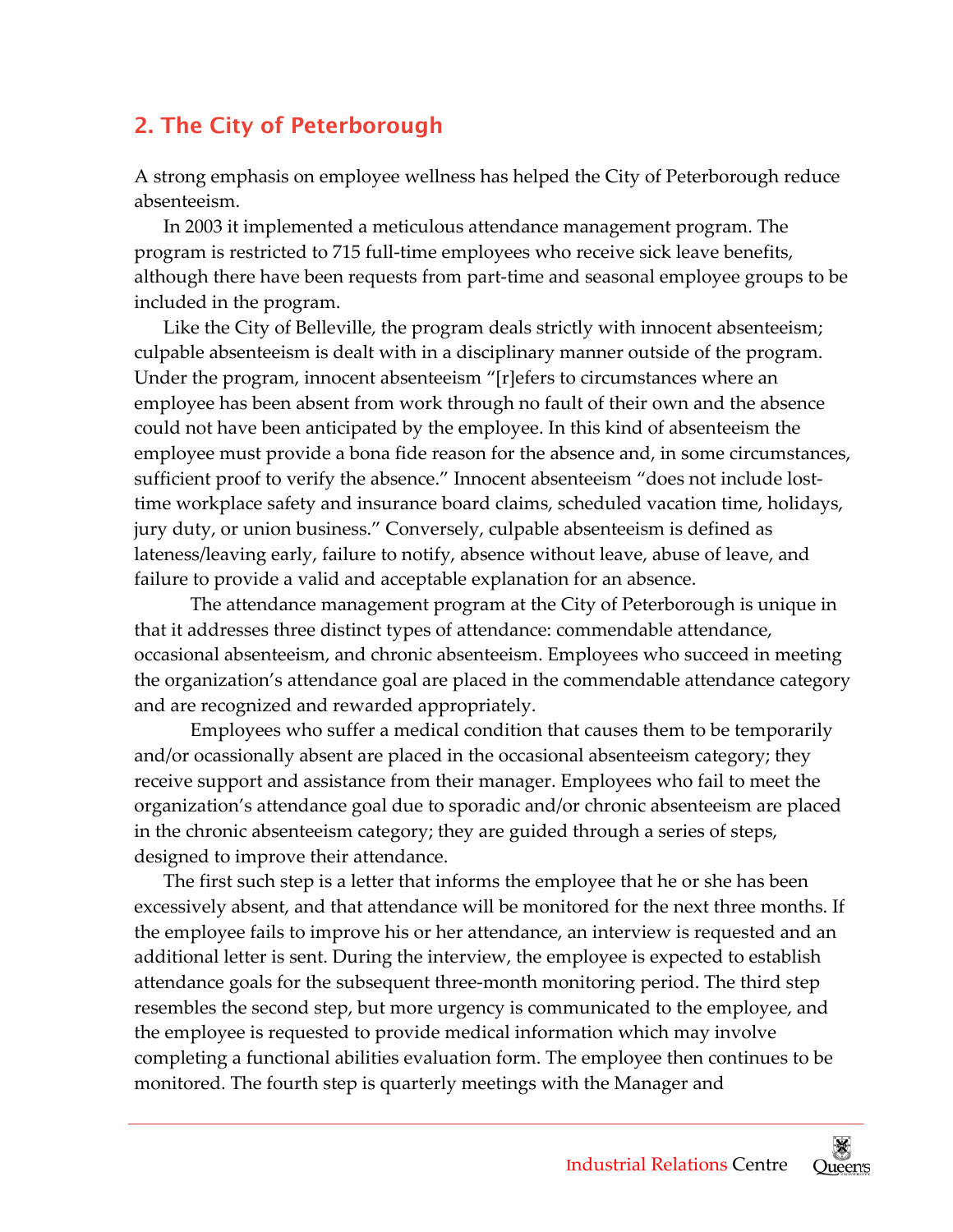## 2. The City of Peterborough

 A strong emphasis on employee wellness has helped the City of Peterborough reduce absenteeism.

 In 2003 it implemented a meticulous attendance management program. The program is restricted to 715 full‐time employees who receive sick leave benefits, although there have been requests from part‐time and seasonal employee groups to be included in the program.

 Like the City of Belleville, the program deals strictly with innocent absenteeism; culpable absenteeism is dealt with in a disciplinary manner outside of the program. Under the program, innocent absenteeism "[r]efers to circumstances where an employee has been absent from work through no fault of their own and the absence could not have been anticipated by the employee. In this kind of absenteeism the employee must provide a bona fide reason for the absence and, in some circumstances, sufficient proof to verify the absence." Innocent absenteeism "does not include lost‐ time workplace safety and insurance board claims, scheduled vacation time, holidays, jury duty, or union business." Conversely, culpable absenteeism is defined as lateness/leaving early, failure to notify, absence without leave, abuse of leave, and failure to provide a valid and acceptable explanation for an absence.

 The attendance management program at the City of Peterborough is unique in that it addresses three distinct types of attendance: commendable attendance, occasional absenteeism, and chronic absenteeism. Employees who succeed in meeting the organization's attendance goal are placed in the commendable attendance category and are recognized and rewarded appropriately.

 Employees who suffer a medical condition that causes them to be temporarily and/or ocassionally absent are placed in the occasional absenteeism category; they receive support and assistance from their manager. Employees who fail to meet the organization's attendance goal due to sporadic and/or chronic absenteeism are placed in the chronic absenteeism category; they are guided through a series of steps, designed to improve their attendance.

 The first such step is a letter that informs the employee that he or she has been excessively absent, and that attendance will be monitored for the next three months. If the employee fails to improve his or her attendance, an interview is requested and an additional letter is sent. During the interview, the employee is expected to establish attendance goals for the subsequent three‐month monitoring period. The third step resembles the second step, but more urgency is communicated to the employee, and the employee is requested to provide medical information which may involve completing a functional abilities evaluation form. The employee then continues to be monitored. The fourth step is quarterly meetings with the Manager and

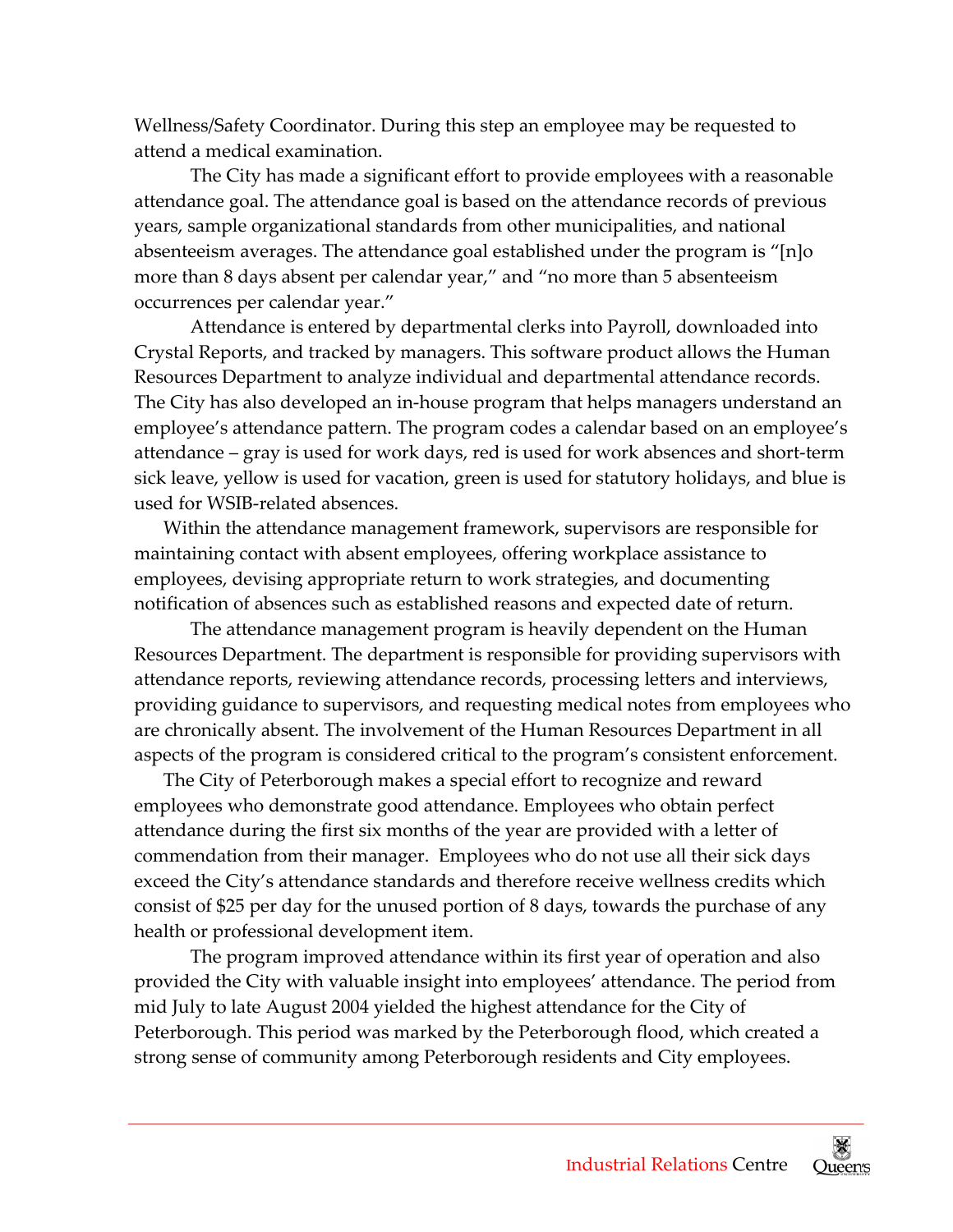Wellness/Safety Coordinator. During this step an employee may be requested to attend a medical examination.

 The City has made a significant effort to provide employees with a reasonable attendance goal. The attendance goal is based on the attendance records of previous years, sample organizational standards from other municipalities, and national absenteeism averages. The attendance goal established under the program is "[n]o more than 8 days absent per calendar year," and "no more than 5 absenteeism occurrences per calendar year."

 Attendance is entered by departmental clerks into Payroll, downloaded into Crystal Reports, and tracked by managers. This software product allows the Human Resources Department to analyze individual and departmental attendance records. The City has also developed an in‐house program that helps managers understand an employee's attendance pattern. The program codes a calendar based on an employee's attendance – gray is used for work days, red is used for work absences and short‐term sick leave, yellow is used for vacation, green is used for statutory holidays, and blue is used for WSIB‐related absences.

 Within the attendance management framework, supervisors are responsible for maintaining contact with absent employees, offering workplace assistance to employees, devising appropriate return to work strategies, and documenting notification of absences such as established reasons and expected date of return.

 The attendance management program is heavily dependent on the Human Resources Department. The department is responsible for providing supervisors with attendance reports, reviewing attendance records, processing letters and interviews, providing guidance to supervisors, and requesting medical notes from employees who are chronically absent. The involvement of the Human Resources Department in all aspects of the program is considered critical to the program's consistent enforcement.

 The City of Peterborough makes a special effort to recognize and reward employees who demonstrate good attendance. Employees who obtain perfect attendance during the first six months of the year are provided with a letter of commendation from their manager. Employees who do not use all their sick days exceed the City's attendance standards and therefore receive wellness credits which consist of \$25 per day for the unused portion of 8 days, towards the purchase of any health or professional development item.

 The program improved attendance within its first year of operation and also provided the City with valuable insight into employees' attendance. The period from mid July to late August 2004 yielded the highest attendance for the City of Peterborough. This period was marked by the Peterborough flood, which created a strong sense of community among Peterborough residents and City employees.

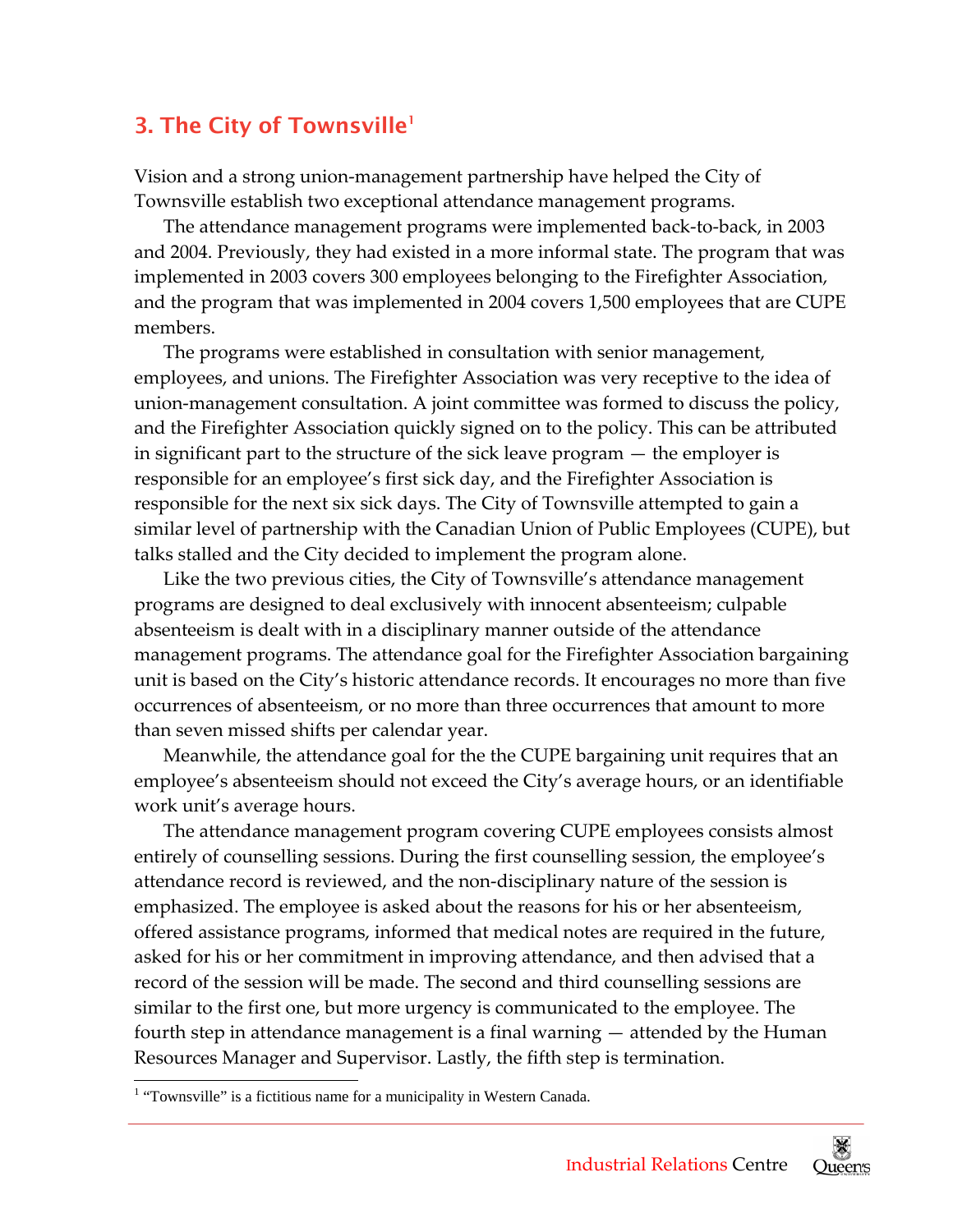## 3. The City of Townsville<sup>1</sup>

 Vision and a strong union‐management partnership have helped the City of Townsville establish two exceptional attendance management programs.

 The attendance management programs were implemented back‐to‐back, in 2003 and 2004. Previously, they had existed in a more informal state. The program that was implemented in 2003 covers 300 employees belonging to the Firefighter Association, and the program that was implemented in 2004 covers 1,500 employees that are CUPE members.

 The programs were established in consultation with senior management, employees, and unions. The Firefighter Association was very receptive to the idea of union‐management consultation. A joint committee was formed to discuss the policy, and the Firefighter Association quickly signed on to the policy. This can be attributed in significant part to the structure of the sick leave program — the employer is responsible for an employee's first sick day, and the Firefighter Association is responsible for the next six sick days. The City of Townsville attempted to gain a similar level of partnership with the Canadian Union of Public Employees (CUPE), but talks stalled and the City decided to implement the program alone.

 Like the two previous cities, the City of Townsville's attendance management programs are designed to deal exclusively with innocent absenteeism; culpable absenteeism is dealt with in a disciplinary manner outside of the attendance management programs. The attendance goal for the Firefighter Association bargaining unit is based on the City's historic attendance records. It encourages no more than five occurrences of absenteeism, or no more than three occurrences that amount to more than seven missed shifts per calendar year.

 Meanwhile, the attendance goal for the the CUPE bargaining unit requires that an employee's absenteeism should not exceed the City's average hours, or an identifiable work unit's average hours.

 The attendance management program covering CUPE employees consists almost entirely of counselling sessions. During the first counselling session, the employee's attendance record is reviewed, and the non‐disciplinary nature of the session is emphasized. The employee is asked about the reasons for his or her absenteeism, offered assistance programs, informed that medical notes are required in the future, asked for his or her commitment in improving attendance, and then advised that a record of the session will be made. The second and third counselling sessions are similar to the first one, but more urgency is communicated to the employee. The fourth step in attendance management is a final warning — attended by the Human Resources Manager and Supervisor. Lastly, the fifth step is termination.

 $\overline{a}$ 



<span id="page-5-0"></span><sup>&</sup>lt;sup>1</sup> "Townsville" is a fictitious name for a municipality in Western Canada.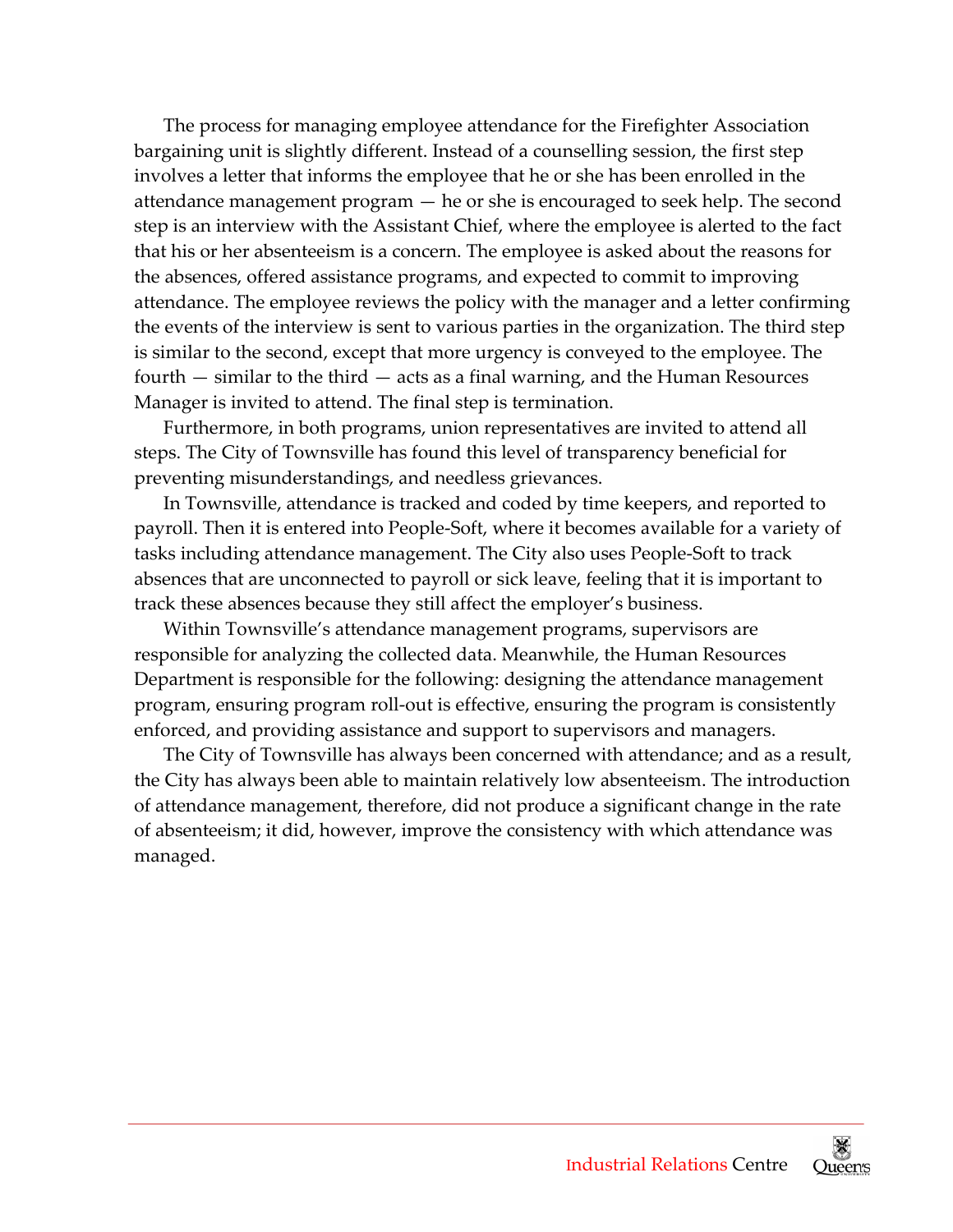The process for managing employee attendance for the Firefighter Association bargaining unit is slightly different. Instead of a counselling session, the first step involves a letter that informs the employee that he or she has been enrolled in the attendance management program — he or she is encouraged to seek help. The second step is an interview with the Assistant Chief, where the employee is alerted to the fact that his or her absenteeism is a concern. The employee is asked about the reasons for the absences, offered assistance programs, and expected to commit to improving attendance. The employee reviews the policy with the manager and a letter confirming the events of the interview is sent to various parties in the organization. The third step is similar to the second, except that more urgency is conveyed to the employee. The fourth — similar to the third — acts as a final warning, and the Human Resources Manager is invited to attend. The final step is termination.

 Furthermore, in both programs, union representatives are invited to attend all steps. The City of Townsville has found this level of transparency beneficial for preventing misunderstandings, and needless grievances.

 In Townsville, attendance is tracked and coded by time keepers, and reported to payroll. Then it is entered into People‐Soft, where it becomes available for a variety of tasks including attendance management. The City also uses People‐Soft to track absences that are unconnected to payroll or sick leave, feeling that it is important to track these absences because they still affect the employer's business.

 Within Townsville's attendance management programs, supervisors are responsible for analyzing the collected data. Meanwhile, the Human Resources Department is responsible for the following: designing the attendance management program, ensuring program roll‐out is effective, ensuring the program is consistently enforced, and providing assistance and support to supervisors and managers.

 The City of Townsville has always been concerned with attendance; and as a result, the City has always been able to maintain relatively low absenteeism. The introduction of attendance management, therefore, did not produce a significant change in the rate of absenteeism; it did, however, improve the consistency with which attendance was managed.

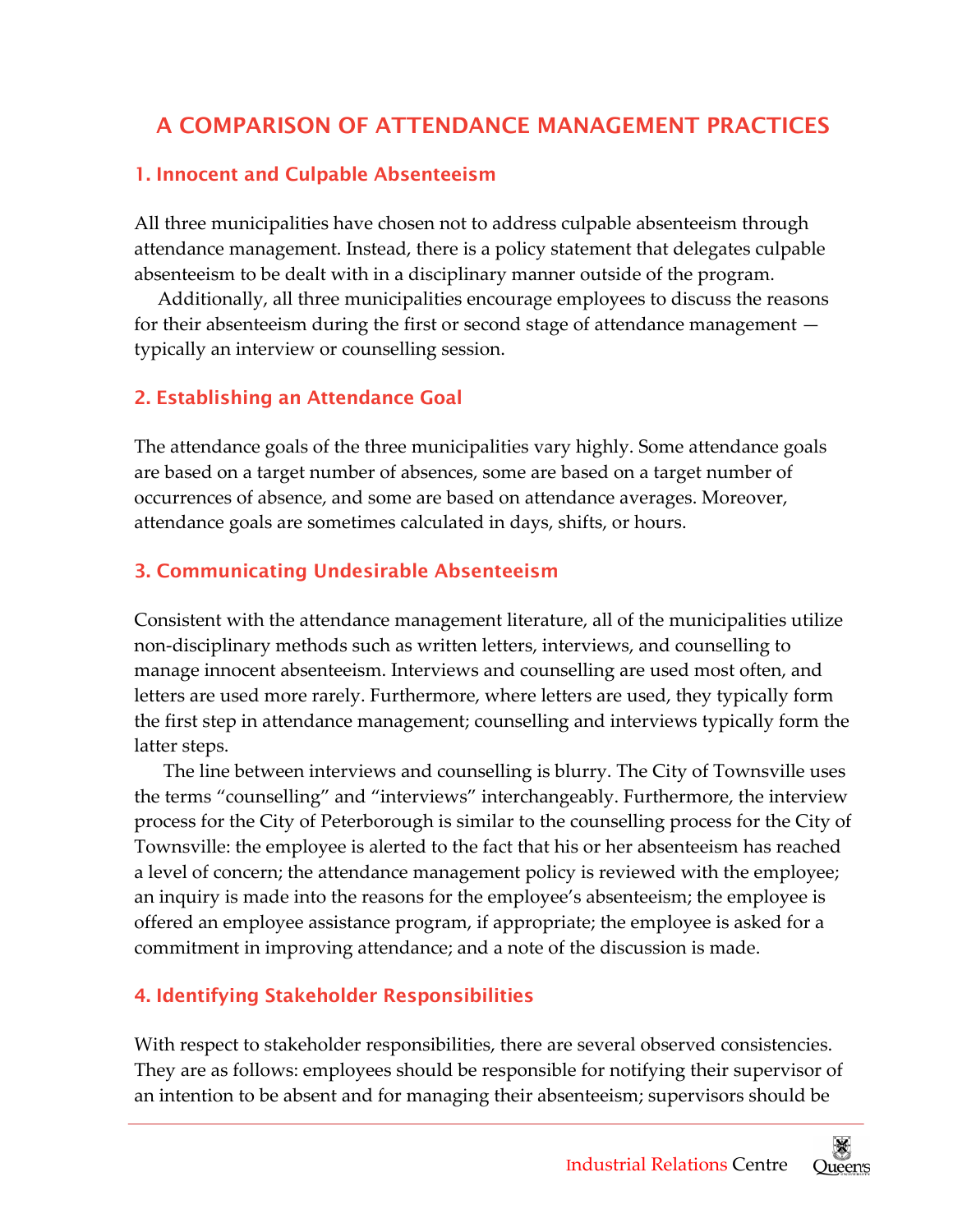## A COMPARISON OF ATTENDANCE MANAGEMENT PRACTICES

#### 1. Innocent and Culpable Absenteeism

 All three municipalities have chosen not to address culpable absenteeism through attendance management. Instead, there is a policy statement that delegates culpable absenteeism to be dealt with in a disciplinary manner outside of the program.

 Additionally, all three municipalities encourage employees to discuss the reasons for their absenteeism during the first or second stage of attendance management — typically an interview or counselling session.

#### 2. Establishing an Attendance Goal

 The attendance goals of the three municipalities vary highly. Some attendance goals are based on a target number of absences, some are based on a target number of occurrences of absence, and some are based on attendance averages. Moreover, attendance goals are sometimes calculated in days, shifts, or hours.

#### 3. Communicating Undesirable Absenteeism

 Consistent with the attendance management literature, all of the municipalities utilize non‐disciplinary methods such as written letters, interviews, and counselling to manage innocent absenteeism. Interviews and counselling are used most often, and letters are used more rarely. Furthermore, where letters are used, they typically form the first step in attendance management; counselling and interviews typically form the latter steps.

 The line between interviews and counselling is blurry. The City of Townsville uses the terms "counselling" and "interviews" interchangeably. Furthermore, the interview process for the City of Peterborough is similar to the counselling process for the City of Townsville: the employee is alerted to the fact that his or her absenteeism has reached a level of concern; the attendance management policy is reviewed with the employee; an inquiry is made into the reasons for the employee's absenteeism; the employee is offered an employee assistance program, if appropriate; the employee is asked for a commitment in improving attendance; and a note of the discussion is made.

#### 4. Identifying Stakeholder Responsibilities

 With respect to stakeholder responsibilities, there are several observed consistencies. They are as follows: employees should be responsible for notifying their supervisor of an intention to be absent and for managing their absenteeism; supervisors should be

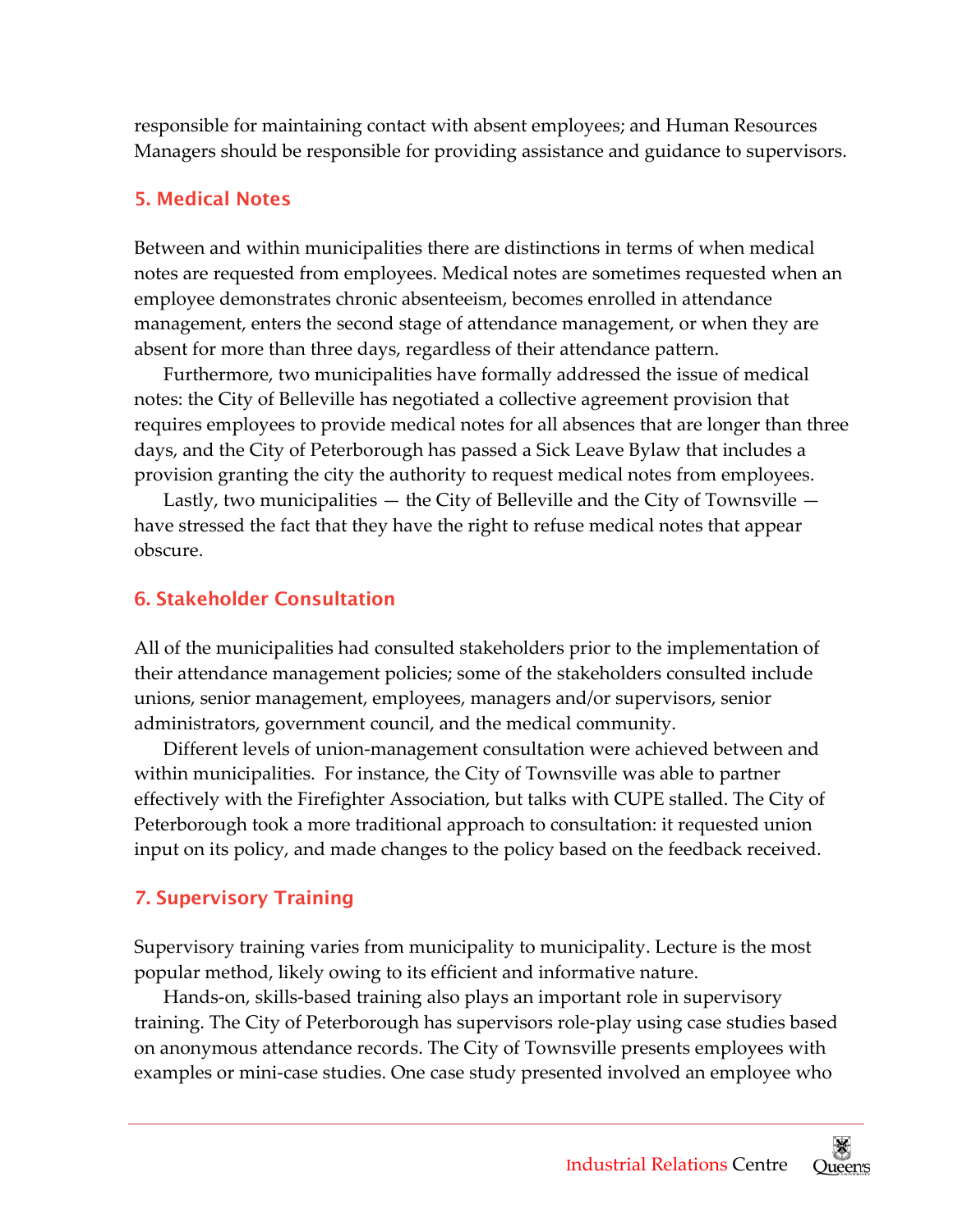responsible for maintaining contact with absent employees; and Human Resources Managers should be responsible for providing assistance and guidance to supervisors.

#### 5. Medical Notes

 Between and within municipalities there are distinctions in terms of when medical notes are requested from employees. Medical notes are sometimes requested when an employee demonstrates chronic absenteeism, becomes enrolled in attendance management, enters the second stage of attendance management, or when they are absent for more than three days, regardless of their attendance pattern.

 Furthermore, two municipalities have formally addressed the issue of medical notes: the City of Belleville has negotiated a collective agreement provision that requires employees to provide medical notes for all absences that are longer than three days, and the City of Peterborough has passed a Sick Leave Bylaw that includes a provision granting the city the authority to request medical notes from employees.

 Lastly, two municipalities — the City of Belleville and the City of Townsville — have stressed the fact that they have the right to refuse medical notes that appear obscure.

#### 6. Stakeholder Consultation

 All of the municipalities had consulted stakeholders prior to the implementation of their attendance management policies; some of the stakeholders consulted include unions, senior management, employees, managers and/or supervisors, senior administrators, government council, and the medical community.

 Different levels of union‐management consultation were achieved between and within municipalities. For instance, the City of Townsville was able to partner effectively with the Firefighter Association, but talks with CUPE stalled. The City of Peterborough took a more traditional approach to consultation: it requested union input on its policy, and made changes to the policy based on the feedback received.

#### 7. Supervisory Training

 Supervisory training varies from municipality to municipality. Lecture is the most popular method, likely owing to its efficient and informative nature.

 Hands‐on, skills‐based training also plays an important role in supervisory training. The City of Peterborough has supervisors role‐play using case studies based on anonymous attendance records. The City of Townsville presents employees with examples or mini‐case studies. One case study presented involved an employee who

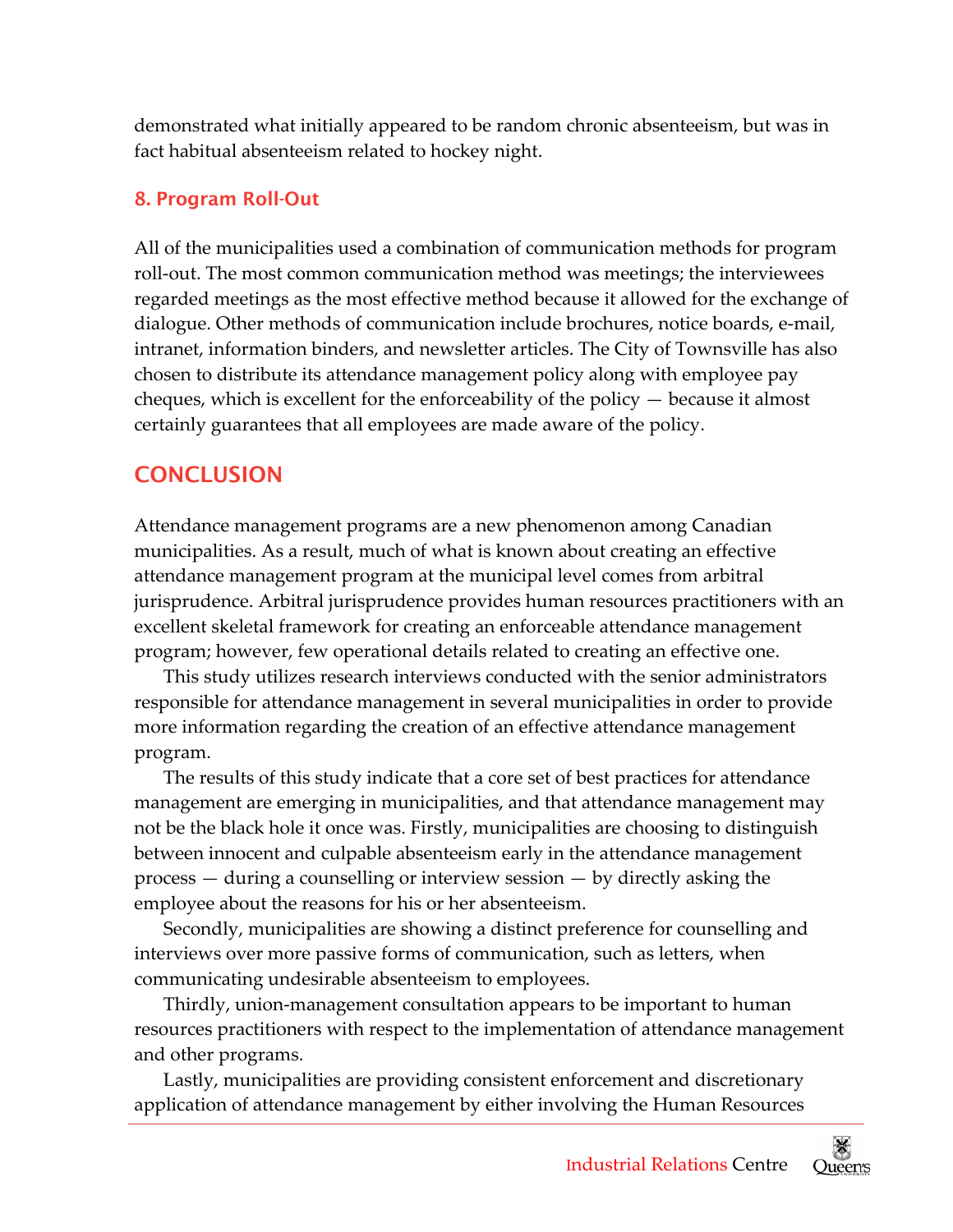demonstrated what initially appeared to be random chronic absenteeism, but was in fact habitual absenteeism related to hockey night.

#### 8. Program Roll-Out

 All of the municipalities used a combination of communication methods for program roll‐out. The most common communication method was meetings; the interviewees regarded meetings as the most effective method because it allowed for the exchange of dialogue. Other methods of communication include brochures, notice boards, e‐mail, intranet, information binders, and newsletter articles. The City of Townsville has also chosen to distribute its attendance management policy along with employee pay cheques, which is excellent for the enforceability of the policy — because it almost certainly guarantees that all employees are made aware of the policy.

## **CONCLUSION**

 Attendance management programs are a new phenomenon among Canadian municipalities. As a result, much of what is known about creating an effective attendance management program at the municipal level comes from arbitral jurisprudence. Arbitral jurisprudence provides human resources practitioners with an excellent skeletal framework for creating an enforceable attendance management program; however, few operational details related to creating an effective one.

 This study utilizes research interviews conducted with the senior administrators responsible for attendance management in several municipalities in order to provide more information regarding the creation of an effective attendance management program.

 The results of this study indicate that a core set of best practices for attendance management are emerging in municipalities, and that attendance management may not be the black hole it once was. Firstly, municipalities are choosing to distinguish between innocent and culpable absenteeism early in the attendance management process — during a counselling or interview session — by directly asking the employee about the reasons for his or her absenteeism.

 Secondly, municipalities are showing a distinct preference for counselling and interviews over more passive forms of communication, such as letters, when communicating undesirable absenteeism to employees.

 Thirdly, union‐management consultation appears to be important to human resources practitioners with respect to the implementation of attendance management and other programs.

 Lastly, municipalities are providing consistent enforcement and discretionary application of attendance management by either involving the Human Resources

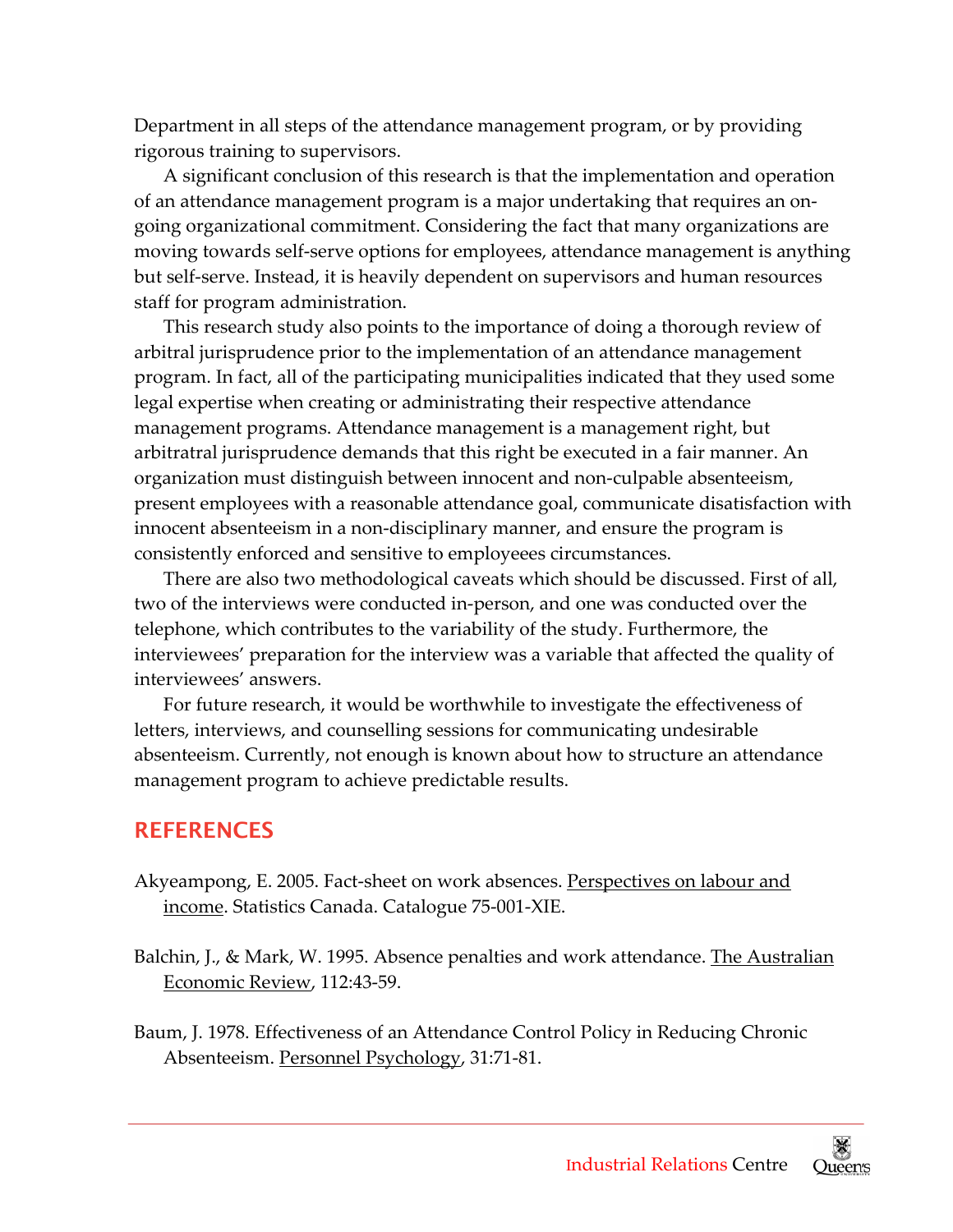Department in all steps of the attendance management program, or by providing rigorous training to supervisors.

 A significant conclusion of this research is that the implementation and operation of an attendance management program is a major undertaking that requires an on‐ going organizational commitment. Considering the fact that many organizations are moving towards self‐serve options for employees, attendance management is anything but self‐serve. Instead, it is heavily dependent on supervisors and human resources staff for program administration.

 This research study also points to the importance of doing a thorough review of arbitral jurisprudence prior to the implementation of an attendance management program. In fact, all of the participating municipalities indicated that they used some legal expertise when creating or administrating their respective attendance management programs. Attendance management is a management right, but arbitratral jurisprudence demands that this right be executed in a fair manner. An organization must distinguish between innocent and non‐culpable absenteeism, present employees with a reasonable attendance goal, communicate disatisfaction with innocent absenteeism in a non‐disciplinary manner, and ensure the program is consistently enforced and sensitive to employeees circumstances.

 There are also two methodological caveats which should be discussed. First of all, two of the interviews were conducted in‐person, and one was conducted over the telephone, which contributes to the variability of the study. Furthermore, the interviewees' preparation for the interview was a variable that affected the quality of interviewees' answers.

 For future research, it would be worthwhile to investigate the effectiveness of letters, interviews, and counselling sessions for communicating undesirable absenteeism. Currently, not enough is known about how to structure an attendance management program to achieve predictable results.

#### **REFERENCES**

- Akyeampong, E. 2005. Fact-sheet on work absences. <u>Perspectives on labour and</u> income. Statistics Canada. Catalogue 75‐001‐XIE.
- Balchin, J., & Mark, W. 1995. Absence penalties and work attendance. <u>The Australian</u> Economic Review, 112:43‐59.
- Baum, J. 1978. Effectiveness of an Attendance Control Policy in Reducing Chronic Absenteeism. <u>Personnel Psychology</u>, 31:71-81.

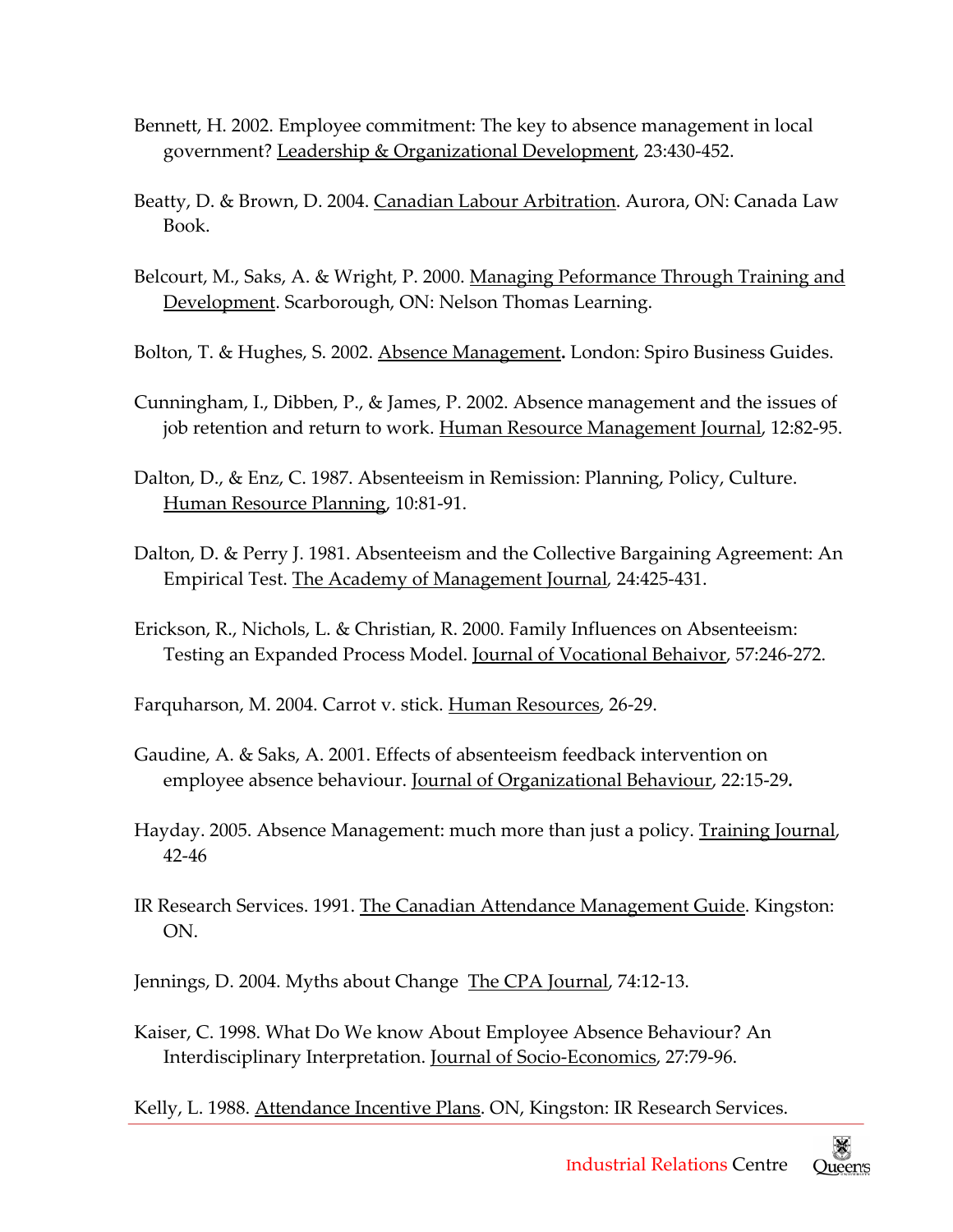- Bennett, H. 2002. Employee commitment: The key to absence management in local government? Leadership & Organizational Development, 23:430‐452.
- Beatty, D. & Brown, D. 2004. <u>Canadian Labour Arbitration</u>. Aurora, ON: Canada Law Book.
- Belcourt, M., Saks, A. & Wright, P. 2000. <u>Managing Peformance Through Training and</u> Development. Scarborough, ON: Nelson Thomas Learning.
- Bolton, T. & Hughes, S. 2002. Absence Management**.** London: Spiro Business Guides.
- Cunningham, I., Dibben, P., & James, P. 2002. Absence management and the issues of job retention and return to work. <u>Human Resource Management Journal</u>, 12:82-95.
- Dalton, D., & Enz, C. 1987. Absenteeism in Remission: Planning, Policy, Culture. Human Resource Planning, 10:81‐91.
- Dalton, D. & Perry J. 1981. Absenteeism and the Collective Bargaining Agreement: An Empirical Test. The Academy of Management Journal*,* 24:425‐431.
- Erickson, R., Nichols, L. & Christian, R. 2000. Family Influences on Absenteeism: Testing an Expanded Process Model. <u>Journal of Vocational Behaivor</u>, 57:246-272.

Farquharson, M. 2004. Carrot v. stick. <u>Human Resources</u>, 26-29.

- Gaudine, A. & Saks, A. 2001. Effects of absenteeism feedback intervention on employee absence behaviour. Journal of Organizational Behaviour, 22:15‐29*.*
- Hayday. 2005. Absence Management: much more than just a policy. <u>Training Journal</u>, 42‐46
- IR Research Services. 1991. <u>The Canadian Attendance Management Guide</u>. Kingston: ON.
- Jennings, D. 2004. Myths about Change The CPA Journal, 74:12-13.
- Kaiser, C. 1998. What Do We know About Employee Absence Behaviour? An Interdisciplinary Interpretation. Journal of Socio‐Economics, 27:79‐96.

Kelly, L. 1988. <u>Attendance Incentive Plans</u>. ON, Kingston: IR Research Services.

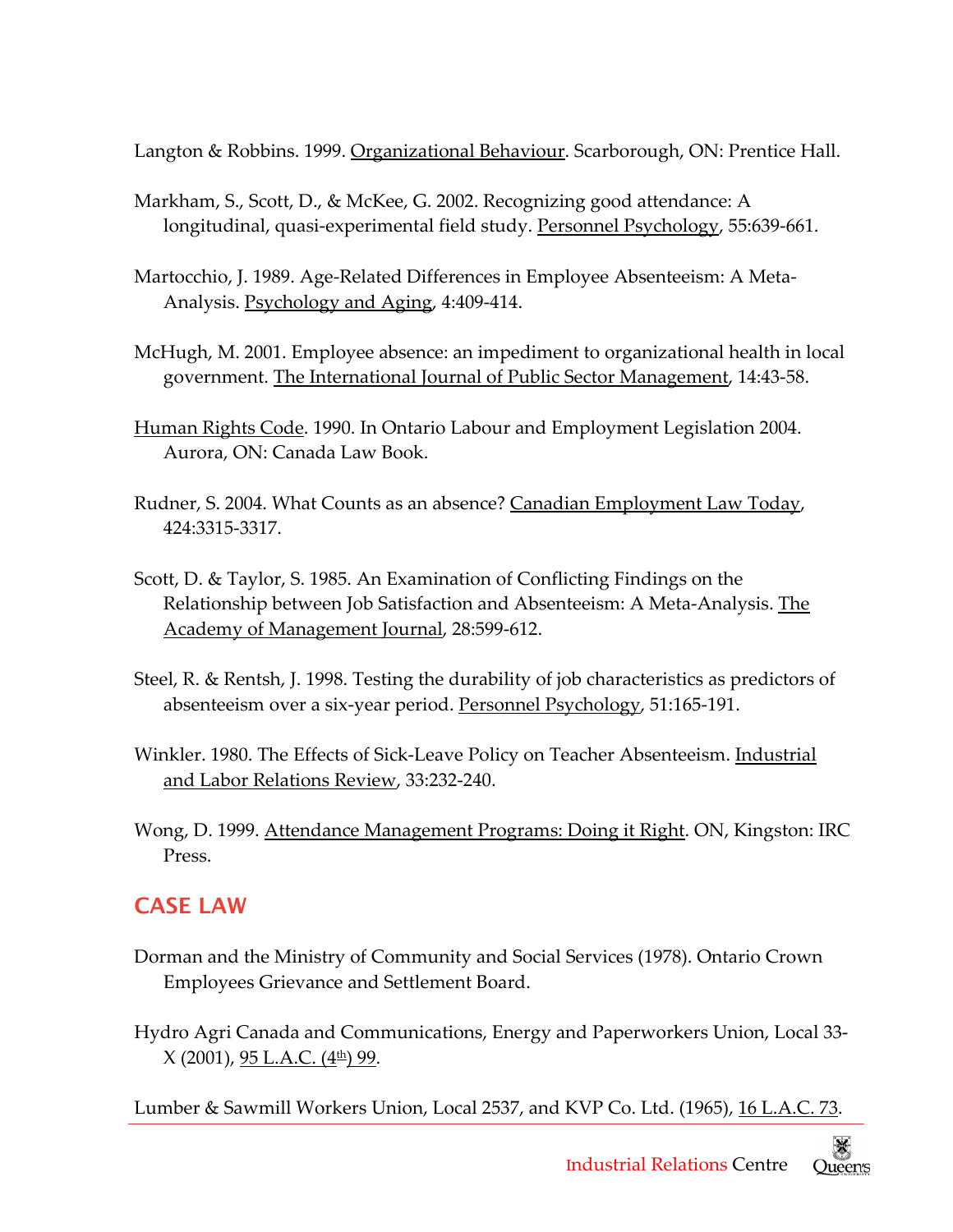Langton & Robbins. 1999. <u>Organizational Behaviour</u>. Scarborough*,* ON: Prentice Hall.

- Markham, S., Scott, D., & McKee, G. 2002. Recognizing good attendance: A longitudinal, quasi-experimental field study. <u>Personnel Psychology</u>, 55:639-661.
- Martocchio, J. 1989. Age‐Related Differences in Employee Absenteeism: A Meta‐ Analysis. <u>Psychology and Aging</u>, 4:409-414.
- McHugh, M. 2001. Employee absence: an impediment to organizational health in local government. The International Journal of Public Sector Management, 14:43‐58.
- Human Rights Code. 1990. In Ontario Labour and Employment Legislation 2004. Aurora, ON: Canada Law Book.
- Rudner, S. 2004. What Counts as an absence? <u>Canadian Employment Law Today</u>, 424:3315‐3317.
- Scott, D. & Taylor, S. 1985. An Examination of Conflicting Findings on the Relationship between Job Satisfaction and Absenteeism: A Meta-Analysis. <u>The</u> Academy of Management Journal, 28:599‐612.
- Steel, R. & Rentsh, J. 1998. Testing the durability of job characteristics as predictors of absenteeism over a six-year period. Personnel Psychology, 51:165-191.
- Winkler. 1980. The Effects of Sick-Leave Policy on Teacher Absenteeism. <u>Industrial</u> and Labor Relations Review, 33:232‐240.
- Wong, D. 1999. Attendance Management Programs: Doing it Right. ON, Kingston: IRC Press.

## CASE LAW

- Dorman and the Ministry of Community and Social Services (1978). Ontario Crown Employees Grievance and Settlement Board.
- Hydro Agri Canada and Communications, Energy and Paperworkers Union, Local 33‐ X (2001), <u>95 L.A.C. (4th) 99</u>.

Lumber & Sawmill Workers Union, Local 2537, and KVP Co. Ltd. (1965), <u>16 L.A.C. 73</u>.